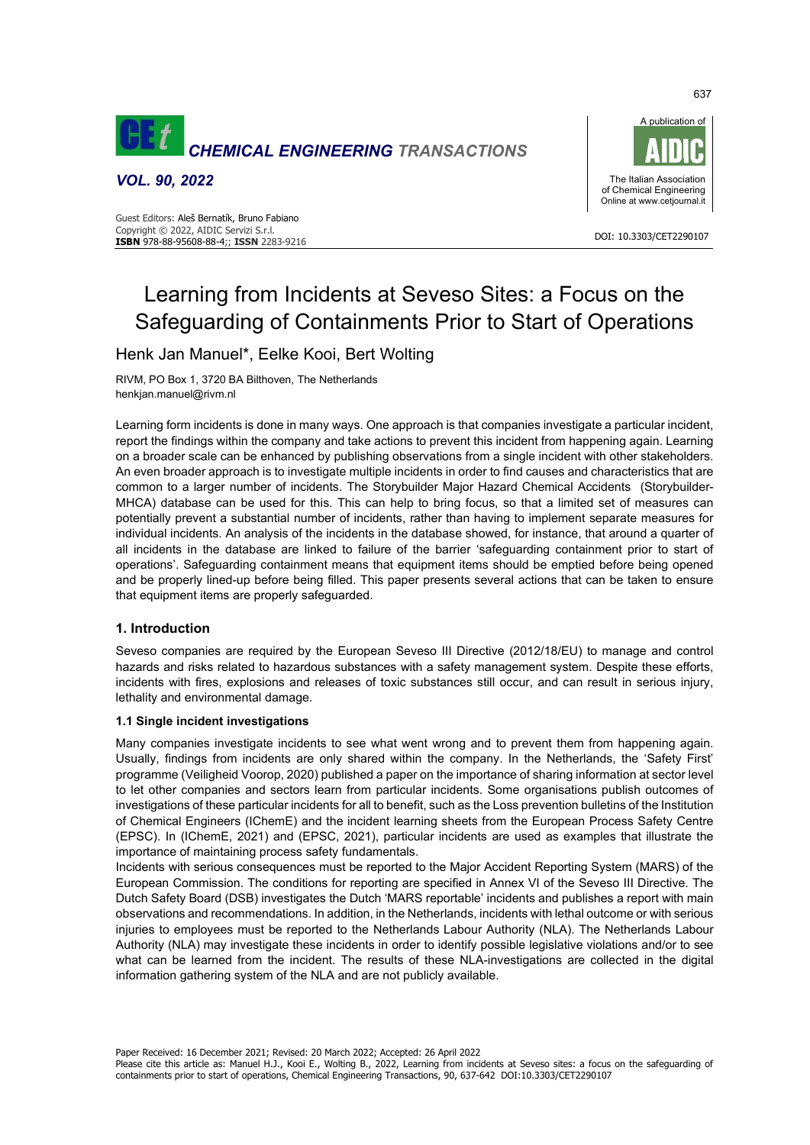

*VOL. 90, 2022* 





# Learning from Incidents at Seveso Sites: a Focus on the Safeguarding of Containments Prior to Start of Operations

## Henk Jan Manuel\*, Eelke Kooi, Bert Wolting

RIVM, PO Box 1, 3720 BA Bilthoven, The Netherlands henkjan.manuel@rivm.nl

Learning form incidents is done in many ways. One approach is that companies investigate a particular incident, report the findings within the company and take actions to prevent this incident from happening again. Learning on a broader scale can be enhanced by publishing observations from a single incident with other stakeholders. An even broader approach is to investigate multiple incidents in order to find causes and characteristics that are common to a larger number of incidents. The Storybuilder Major Hazard Chemical Accidents (Storybuilder-MHCA) database can be used for this. This can help to bring focus, so that a limited set of measures can potentially prevent a substantial number of incidents, rather than having to implement separate measures for individual incidents. An analysis of the incidents in the database showed, for instance, that around a quarter of all incidents in the database are linked to failure of the barrier 'safeguarding containment prior to start of operations'. Safeguarding containment means that equipment items should be emptied before being opened and be properly lined-up before being filled. This paper presents several actions that can be taken to ensure that equipment items are properly safeguarded.

## **1. Introduction**

Seveso companies are required by the European Seveso III Directive (2012/18/EU) to manage and control hazards and risks related to hazardous substances with a safety management system. Despite these efforts, incidents with fires, explosions and releases of toxic substances still occur, and can result in serious injury, lethality and environmental damage.

## **1.1 Single incident investigations**

Many companies investigate incidents to see what went wrong and to prevent them from happening again. Usually, findings from incidents are only shared within the company. In the Netherlands, the 'Safety First' programme (Veiligheid Voorop, 2020) published a paper on the importance of sharing information at sector level to let other companies and sectors learn from particular incidents. Some organisations publish outcomes of investigations of these particular incidents for all to benefit, such as the Loss prevention bulletins of the Institution of Chemical Engineers (IChemE) and the incident learning sheets from the European Process Safety Centre (EPSC). In (IChemE, 2021) and (EPSC, 2021), particular incidents are used as examples that illustrate the importance of maintaining process safety fundamentals.

Incidents with serious consequences must be reported to the Major Accident Reporting System (MARS) of the European Commission. The conditions for reporting are specified in Annex VI of the Seveso III Directive. The Dutch Safety Board (DSB) investigates the Dutch 'MARS reportable' incidents and publishes a report with main observations and recommendations. In addition, in the Netherlands, incidents with lethal outcome or with serious injuries to employees must be reported to the Netherlands Labour Authority (NLA). The Netherlands Labour Authority (NLA) may investigate these incidents in order to identify possible legislative violations and/or to see what can be learned from the incident. The results of these NLA-investigations are collected in the digital information gathering system of the NLA and are not publicly available.

Paper Received: 16 December 2021; Revised: 20 March 2022; Accepted: 26 April 2022

637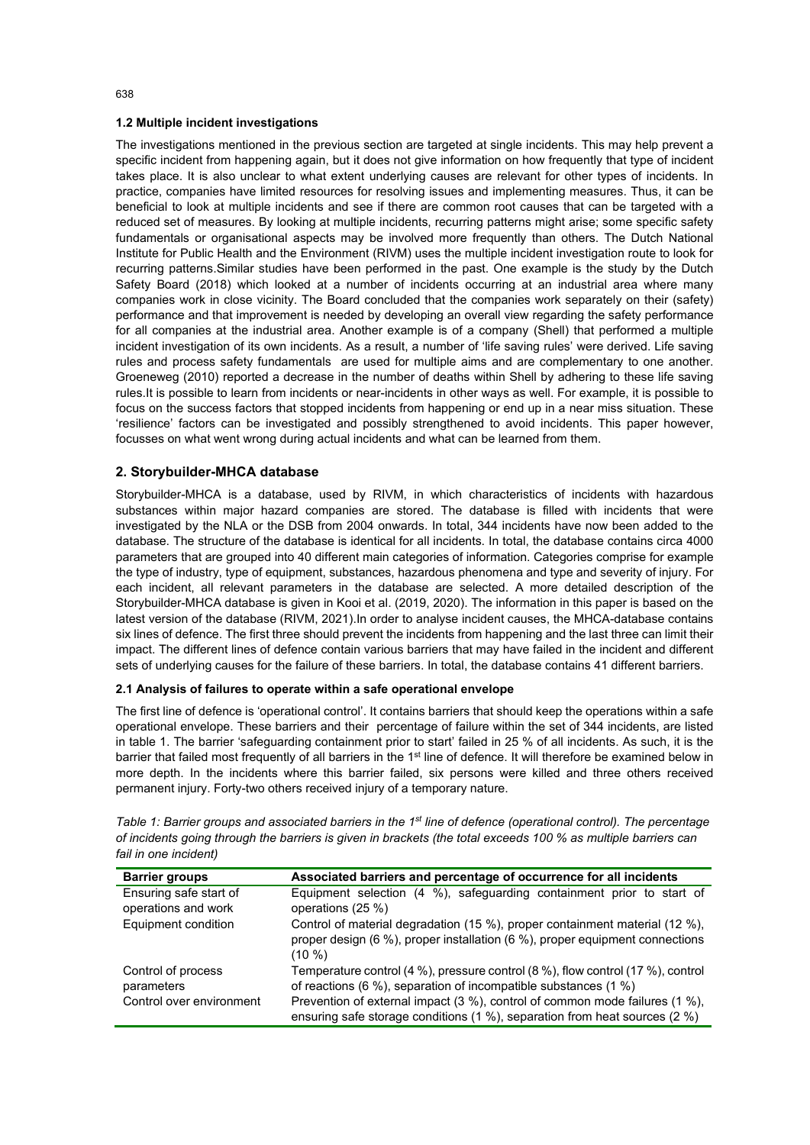### **1.2 Multiple incident investigations**

The investigations mentioned in the previous section are targeted at single incidents. This may help prevent a specific incident from happening again, but it does not give information on how frequently that type of incident takes place. It is also unclear to what extent underlying causes are relevant for other types of incidents. In practice, companies have limited resources for resolving issues and implementing measures. Thus, it can be beneficial to look at multiple incidents and see if there are common root causes that can be targeted with a reduced set of measures. By looking at multiple incidents, recurring patterns might arise; some specific safety fundamentals or organisational aspects may be involved more frequently than others. The Dutch National Institute for Public Health and the Environment (RIVM) uses the multiple incident investigation route to look for recurring patterns.Similar studies have been performed in the past. One example is the study by the Dutch Safety Board (2018) which looked at a number of incidents occurring at an industrial area where many companies work in close vicinity. The Board concluded that the companies work separately on their (safety) performance and that improvement is needed by developing an overall view regarding the safety performance for all companies at the industrial area. Another example is of a company (Shell) that performed a multiple incident investigation of its own incidents. As a result, a number of 'life saving rules' were derived. Life saving rules and process safety fundamentals are used for multiple aims and are complementary to one another. Groeneweg (2010) reported a decrease in the number of deaths within Shell by adhering to these life saving rules.It is possible to learn from incidents or near-incidents in other ways as well. For example, it is possible to focus on the success factors that stopped incidents from happening or end up in a near miss situation. These 'resilience' factors can be investigated and possibly strengthened to avoid incidents. This paper however, focusses on what went wrong during actual incidents and what can be learned from them.

## **2. Storybuilder-MHCA database**

Storybuilder-MHCA is a database, used by RIVM, in which characteristics of incidents with hazardous substances within major hazard companies are stored. The database is filled with incidents that were investigated by the NLA or the DSB from 2004 onwards. In total, 344 incidents have now been added to the database. The structure of the database is identical for all incidents. In total, the database contains circa 4000 parameters that are grouped into 40 different main categories of information. Categories comprise for example the type of industry, type of equipment, substances, hazardous phenomena and type and severity of injury. For each incident, all relevant parameters in the database are selected. A more detailed description of the Storybuilder-MHCA database is given in Kooi et al. (2019, 2020). The information in this paper is based on the latest version of the database (RIVM, 2021).In order to analyse incident causes, the MHCA-database contains six lines of defence. The first three should prevent the incidents from happening and the last three can limit their impact. The different lines of defence contain various barriers that may have failed in the incident and different sets of underlying causes for the failure of these barriers. In total, the database contains 41 different barriers.

#### **2.1 Analysis of failures to operate within a safe operational envelope**

The first line of defence is 'operational control'. It contains barriers that should keep the operations within a safe operational envelope. These barriers and their percentage of failure within the set of 344 incidents, are listed in table 1. The barrier 'safeguarding containment prior to start' failed in 25 % of all incidents. As such, it is the barrier that failed most frequently of all barriers in the 1<sup>st</sup> line of defence. It will therefore be examined below in more depth. In the incidents where this barrier failed, six persons were killed and three others received permanent injury. Forty-two others received injury of a temporary nature.

*Table 1: Barrier groups and associated barriers in the 1st line of defence (operational control). The percentage of incidents going through the barriers is given in brackets (the total exceeds 100 % as multiple barriers can fail in one incident)*

| <b>Barrier groups</b>    | Associated barriers and percentage of occurrence for all incidents              |
|--------------------------|---------------------------------------------------------------------------------|
| Ensuring safe start of   | Equipment selection (4 %), safeguarding containment prior to start of           |
| operations and work      | operations (25 %)                                                               |
| Equipment condition      | Control of material degradation (15 %), proper containment material (12 %),     |
|                          | proper design (6 %), proper installation (6 %), proper equipment connections    |
|                          | $(10\% )$                                                                       |
| Control of process       | Temperature control (4 %), pressure control (8 %), flow control (17 %), control |
| parameters               | of reactions (6 %), separation of incompatible substances (1 %)                 |
| Control over environment | Prevention of external impact (3 %), control of common mode failures (1 %),     |
|                          | ensuring safe storage conditions (1 %), separation from heat sources (2 %)      |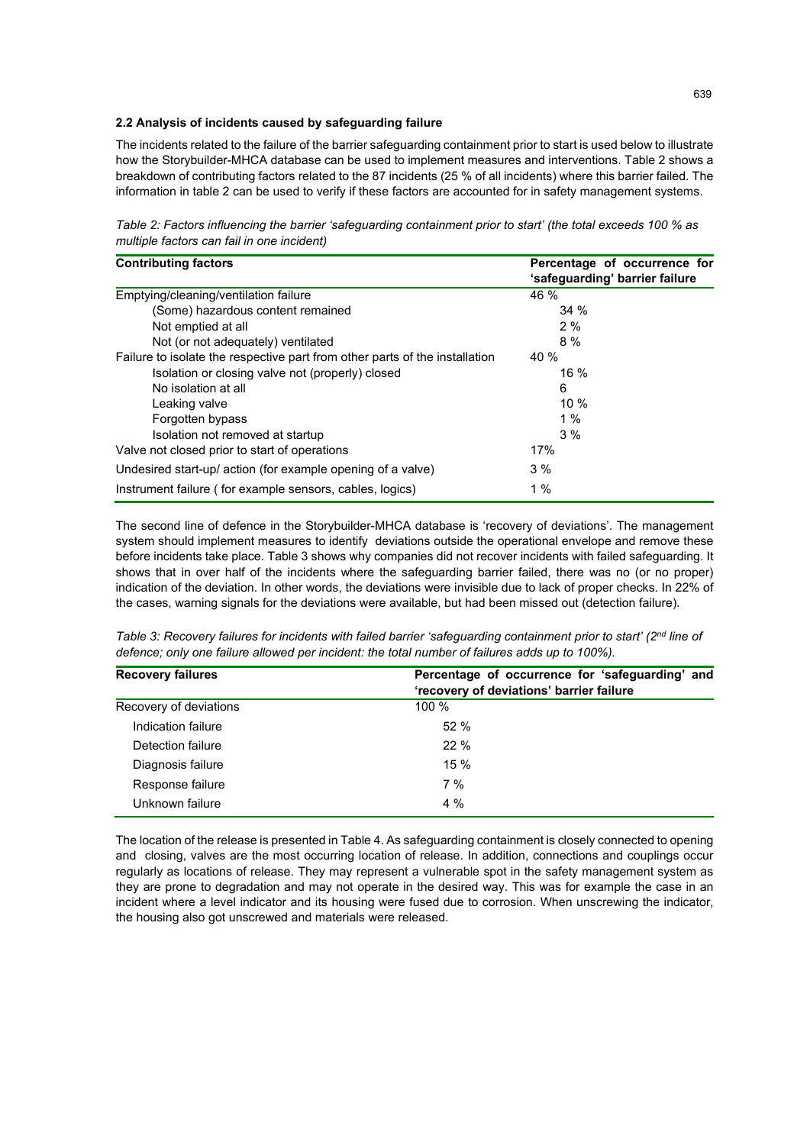#### **2.2 Analysis of incidents caused by safeguarding failure**

The incidents related to the failure of the barrier safeguarding containment prior to start is used below to illustrate how the Storybuilder-MHCA database can be used to implement measures and interventions. Table 2 shows a breakdown of contributing factors related to the 87 incidents (25 % of all incidents) where this barrier failed. The information in table 2 can be used to verify if these factors are accounted for in safety management systems.

*Table 2: Factors influencing the barrier 'safeguarding containment prior to start' (the total exceeds 100 % as multiple factors can fail in one incident)*

| <b>Contributing factors</b>                                                 | Percentage of occurrence for<br>'safeguarding' barrier failure |  |
|-----------------------------------------------------------------------------|----------------------------------------------------------------|--|
| Emptying/cleaning/ventilation failure                                       | 46 %                                                           |  |
| (Some) hazardous content remained                                           | 34%                                                            |  |
| Not emptied at all                                                          | 2%                                                             |  |
| Not (or not adequately) ventilated                                          | 8 %                                                            |  |
| Failure to isolate the respective part from other parts of the installation | 40 %                                                           |  |
| Isolation or closing valve not (properly) closed                            | 16 %                                                           |  |
| No isolation at all                                                         | 6                                                              |  |
| Leaking valve                                                               | 10%                                                            |  |
| Forgotten bypass                                                            | $1\%$                                                          |  |
| Isolation not removed at startup                                            | 3%                                                             |  |
| Valve not closed prior to start of operations                               | 17%                                                            |  |
| Undesired start-up/ action (for example opening of a valve)                 | 3%                                                             |  |
| Instrument failure (for example sensors, cables, logics)                    | 1%                                                             |  |

The second line of defence in the Storybuilder-MHCA database is 'recovery of deviations'. The management system should implement measures to identify deviations outside the operational envelope and remove these before incidents take place. Table 3 shows why companies did not recover incidents with failed safeguarding. It shows that in over half of the incidents where the safeguarding barrier failed, there was no (or no proper) indication of the deviation. In other words, the deviations were invisible due to lack of proper checks. In 22% of the cases, warning signals for the deviations were available, but had been missed out (detection failure).

| Table 3: Recovery failures for incidents with failed barrier 'safeguarding containment prior to start' (2 <sup>nd</sup> line of |
|---------------------------------------------------------------------------------------------------------------------------------|
| defence; only one failure allowed per incident: the total number of failures adds up to 100%).                                  |

| <b>Recovery failures</b> | Percentage of occurrence for 'safeguarding' and<br>'recovery of deviations' barrier failure |
|--------------------------|---------------------------------------------------------------------------------------------|
| Recovery of deviations   | 100 %                                                                                       |
| Indication failure       | 52%                                                                                         |
| Detection failure        | 22%                                                                                         |
| Diagnosis failure        | $15 \%$                                                                                     |
| Response failure         | 7%                                                                                          |
| Unknown failure          | $4\%$                                                                                       |

The location of the release is presented in Table 4. As safeguarding containment is closely connected to opening and closing, valves are the most occurring location of release. In addition, connections and couplings occur regularly as locations of release. They may represent a vulnerable spot in the safety management system as they are prone to degradation and may not operate in the desired way. This was for example the case in an incident where a level indicator and its housing were fused due to corrosion. When unscrewing the indicator, the housing also got unscrewed and materials were released.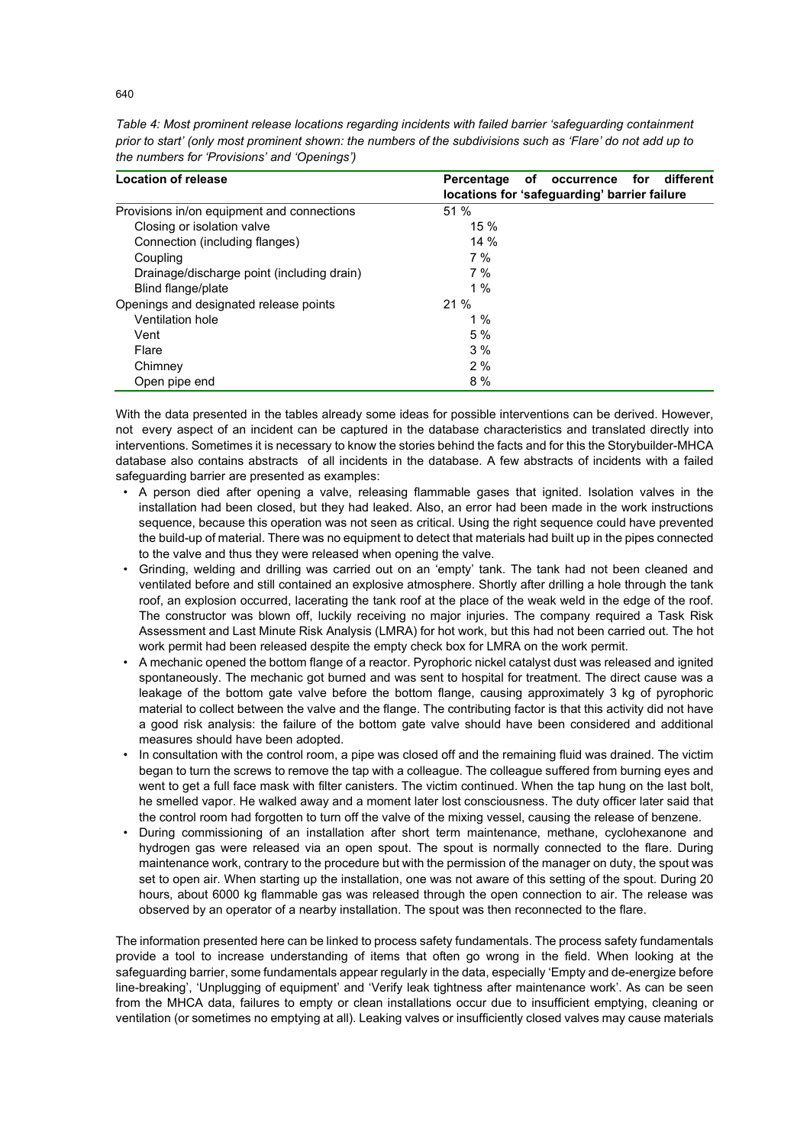| Location of release                        | different<br>Percentage<br>of<br>for<br>occurrence<br>locations for 'safeguarding' barrier failure |  |
|--------------------------------------------|----------------------------------------------------------------------------------------------------|--|
| Provisions in/on equipment and connections | 51 %                                                                                               |  |
| Closing or isolation valve                 | 15 %                                                                                               |  |
| Connection (including flanges)             | 14%                                                                                                |  |
| Coupling                                   | 7%                                                                                                 |  |
| Drainage/discharge point (including drain) | 7%                                                                                                 |  |
| Blind flange/plate                         | $1\%$                                                                                              |  |
| Openings and designated release points     | 21%                                                                                                |  |
| Ventilation hole                           | 1%                                                                                                 |  |
| Vent                                       | 5%                                                                                                 |  |
| Flare                                      | 3%                                                                                                 |  |
| Chimney                                    | 2%                                                                                                 |  |
| Open pipe end                              | 8%                                                                                                 |  |

*Table 4: Most prominent release locations regarding incidents with failed barrier 'safeguarding containment prior to start' (only most prominent shown: the numbers of the subdivisions such as 'Flare' do not add up to the numbers for 'Provisions' and 'Openings')*

With the data presented in the tables already some ideas for possible interventions can be derived. However, not every aspect of an incident can be captured in the database characteristics and translated directly into interventions. Sometimes it is necessary to know the stories behind the facts and for this the Storybuilder-MHCA database also contains abstracts of all incidents in the database. A few abstracts of incidents with a failed safeguarding barrier are presented as examples:

- A person died after opening a valve, releasing flammable gases that ignited. Isolation valves in the installation had been closed, but they had leaked. Also, an error had been made in the work instructions sequence, because this operation was not seen as critical. Using the right sequence could have prevented the build-up of material. There was no equipment to detect that materials had built up in the pipes connected to the valve and thus they were released when opening the valve.
- Grinding, welding and drilling was carried out on an 'empty' tank. The tank had not been cleaned and ventilated before and still contained an explosive atmosphere. Shortly after drilling a hole through the tank roof, an explosion occurred, lacerating the tank roof at the place of the weak weld in the edge of the roof. The constructor was blown off, luckily receiving no major injuries. The company required a Task Risk Assessment and Last Minute Risk Analysis (LMRA) for hot work, but this had not been carried out. The hot work permit had been released despite the empty check box for LMRA on the work permit.
- A mechanic opened the bottom flange of a reactor. Pyrophoric nickel catalyst dust was released and ignited spontaneously. The mechanic got burned and was sent to hospital for treatment. The direct cause was a leakage of the bottom gate valve before the bottom flange, causing approximately 3 kg of pyrophoric material to collect between the valve and the flange. The contributing factor is that this activity did not have a good risk analysis: the failure of the bottom gate valve should have been considered and additional measures should have been adopted.
- In consultation with the control room, a pipe was closed off and the remaining fluid was drained. The victim began to turn the screws to remove the tap with a colleague. The colleague suffered from burning eyes and went to get a full face mask with filter canisters. The victim continued. When the tap hung on the last bolt, he smelled vapor. He walked away and a moment later lost consciousness. The duty officer later said that the control room had forgotten to turn off the valve of the mixing vessel, causing the release of benzene.
- During commissioning of an installation after short term maintenance, methane, cyclohexanone and hydrogen gas were released via an open spout. The spout is normally connected to the flare. During maintenance work, contrary to the procedure but with the permission of the manager on duty, the spout was set to open air. When starting up the installation, one was not aware of this setting of the spout. During 20 hours, about 6000 kg flammable gas was released through the open connection to air. The release was observed by an operator of a nearby installation. The spout was then reconnected to the flare.

The information presented here can be linked to process safety fundamentals. The process safety fundamentals provide a tool to increase understanding of items that often go wrong in the field. When looking at the safeguarding barrier, some fundamentals appear regularly in the data, especially 'Empty and de-energize before line-breaking', 'Unplugging of equipment' and 'Verify leak tightness after maintenance work'. As can be seen from the MHCA data, failures to empty or clean installations occur due to insufficient emptying, cleaning or ventilation (or sometimes no emptying at all). Leaking valves or insufficiently closed valves may cause materials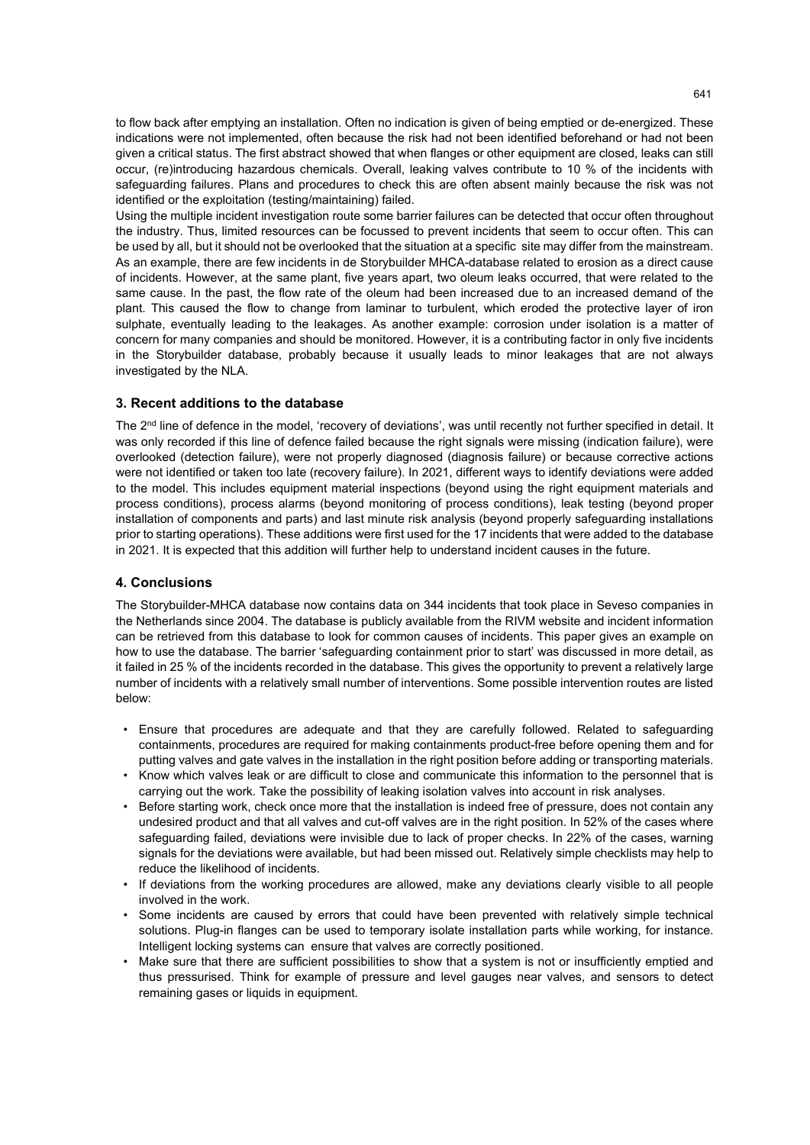to flow back after emptying an installation. Often no indication is given of being emptied or de-energized. These indications were not implemented, often because the risk had not been identified beforehand or had not been given a critical status. The first abstract showed that when flanges or other equipment are closed, leaks can still occur, (re)introducing hazardous chemicals. Overall, leaking valves contribute to 10 % of the incidents with safeguarding failures. Plans and procedures to check this are often absent mainly because the risk was not identified or the exploitation (testing/maintaining) failed.

Using the multiple incident investigation route some barrier failures can be detected that occur often throughout the industry. Thus, limited resources can be focussed to prevent incidents that seem to occur often. This can be used by all, but it should not be overlooked that the situation at a specific site may differ from the mainstream. As an example, there are few incidents in de Storybuilder MHCA-database related to erosion as a direct cause of incidents. However, at the same plant, five years apart, two oleum leaks occurred, that were related to the same cause. In the past, the flow rate of the oleum had been increased due to an increased demand of the plant. This caused the flow to change from laminar to turbulent, which eroded the protective layer of iron sulphate, eventually leading to the leakages. As another example: corrosion under isolation is a matter of concern for many companies and should be monitored. However, it is a contributing factor in only five incidents in the Storybuilder database, probably because it usually leads to minor leakages that are not always investigated by the NLA.

## **3. Recent additions to the database**

The 2<sup>nd</sup> line of defence in the model, 'recovery of deviations', was until recently not further specified in detail. It was only recorded if this line of defence failed because the right signals were missing (indication failure), were overlooked (detection failure), were not properly diagnosed (diagnosis failure) or because corrective actions were not identified or taken too late (recovery failure). In 2021, different ways to identify deviations were added to the model. This includes equipment material inspections (beyond using the right equipment materials and process conditions), process alarms (beyond monitoring of process conditions), leak testing (beyond proper installation of components and parts) and last minute risk analysis (beyond properly safeguarding installations prior to starting operations). These additions were first used for the 17 incidents that were added to the database in 2021. It is expected that this addition will further help to understand incident causes in the future.

## **4. Conclusions**

The Storybuilder-MHCA database now contains data on 344 incidents that took place in Seveso companies in the Netherlands since 2004. The database is publicly available from the RIVM website and incident information can be retrieved from this database to look for common causes of incidents. This paper gives an example on how to use the database. The barrier 'safeguarding containment prior to start' was discussed in more detail, as it failed in 25 % of the incidents recorded in the database. This gives the opportunity to prevent a relatively large number of incidents with a relatively small number of interventions. Some possible intervention routes are listed below:

- Ensure that procedures are adequate and that they are carefully followed. Related to safeguarding containments, procedures are required for making containments product-free before opening them and for putting valves and gate valves in the installation in the right position before adding or transporting materials.
- Know which valves leak or are difficult to close and communicate this information to the personnel that is carrying out the work. Take the possibility of leaking isolation valves into account in risk analyses.
- Before starting work, check once more that the installation is indeed free of pressure, does not contain any undesired product and that all valves and cut-off valves are in the right position. In 52% of the cases where safeguarding failed, deviations were invisible due to lack of proper checks. In 22% of the cases, warning signals for the deviations were available, but had been missed out. Relatively simple checklists may help to reduce the likelihood of incidents.
- If deviations from the working procedures are allowed, make any deviations clearly visible to all people involved in the work.
- Some incidents are caused by errors that could have been prevented with relatively simple technical solutions. Plug-in flanges can be used to temporary isolate installation parts while working, for instance. Intelligent locking systems can ensure that valves are correctly positioned.
- Make sure that there are sufficient possibilities to show that a system is not or insufficiently emptied and thus pressurised. Think for example of pressure and level gauges near valves, and sensors to detect remaining gases or liquids in equipment.